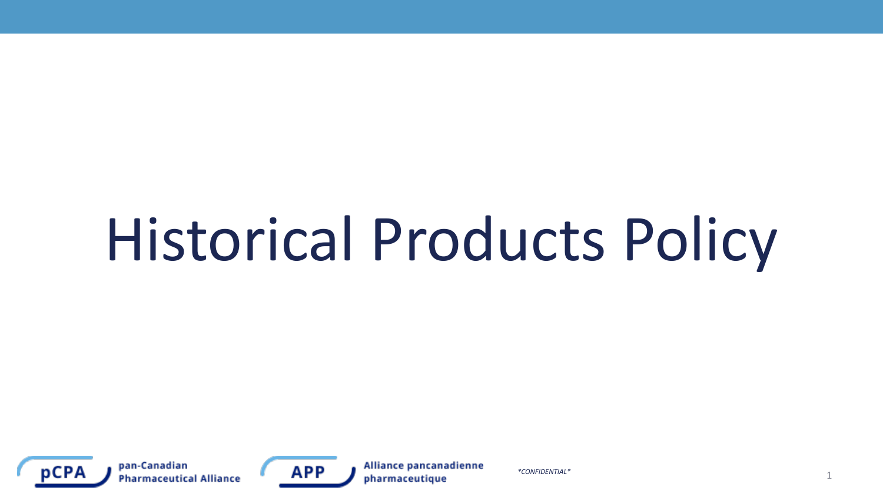# Historical Products Policy



pan-Canadian **Pharmaceutical Alliance** 



Alliance pancanadienne pharmaceutique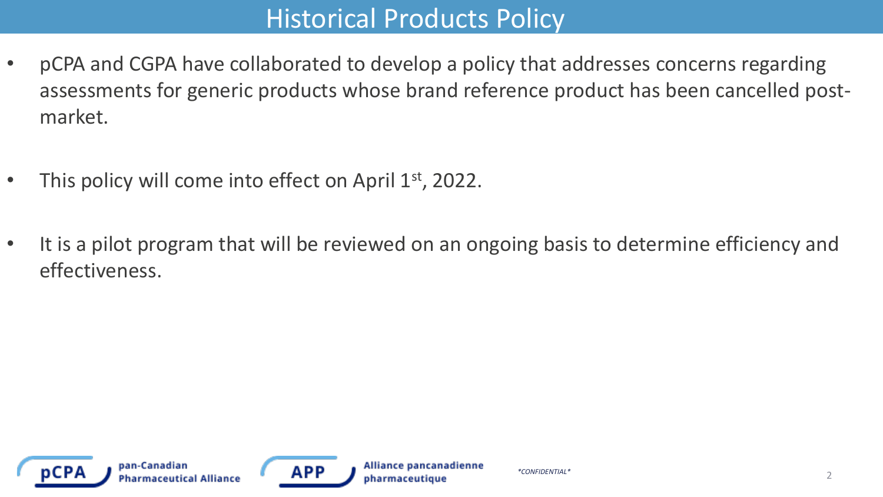#### **Historical Products Policy**

- pCPA and CGPA have collaborated to develop a policy that addresses concerns regarding assessments for generic products whose brand reference product has been cancelled postmarket.
- This policy will come into effect on April  $1<sup>st</sup>$ , 2022.
- It is a pilot program that will be reviewed on an ongoing basis to determine efficiency and effectiveness.



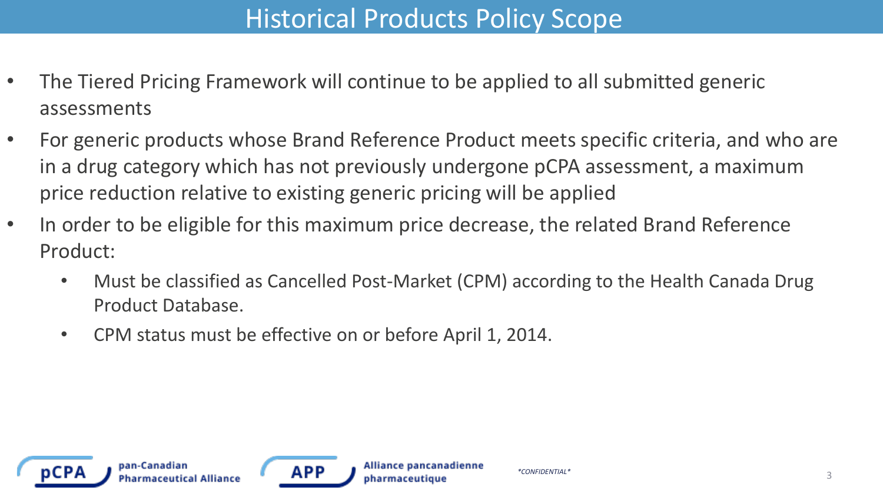# Historical Products Policy Scope

- The Tiered Pricing Framework will continue to be applied to all submitted generic assessments
- For generic products whose Brand Reference Product meets specific criteria, and who are in a drug category which has not previously undergone pCPA assessment, a maximum price reduction relative to existing generic pricing will be applied
- In order to be eligible for this maximum price decrease, the related Brand Reference Product:
	- Must be classified as Cancelled Post-Market (CPM) according to the Health Canada Drug Product Database.
	- CPM status must be effective on or before April 1, 2014.



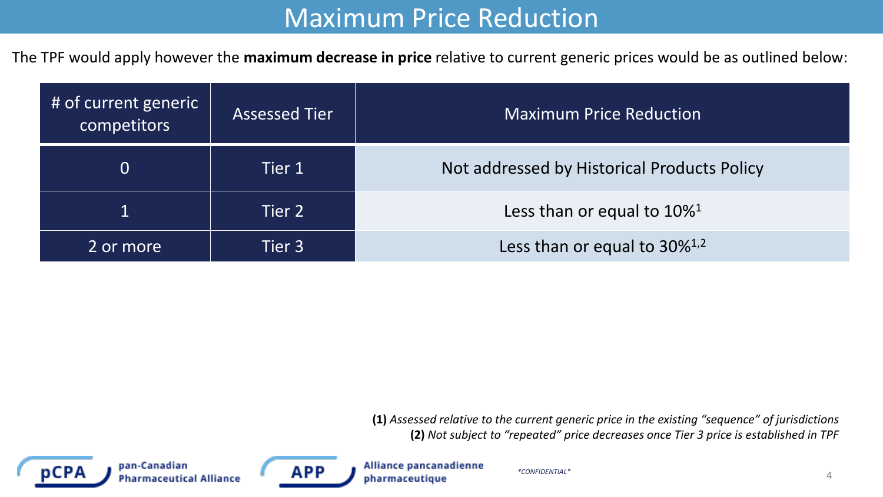#### Maximum Price Reduction

The TPF would apply however the **maximum decrease in price** relative to current generic prices would be as outlined below:

| # of current generic<br>competitors | <b>Assessed Tier</b> | <b>Maximum Price Reduction</b>              |  |  |
|-------------------------------------|----------------------|---------------------------------------------|--|--|
| $\overline{0}$                      | Tier 1               | Not addressed by Historical Products Policy |  |  |
|                                     | Tier 2               | Less than or equal to $10\%$ <sup>1</sup>   |  |  |
| 2 or more                           | Tier 3               | Less than or equal to 30% <sup>1,2</sup>    |  |  |

**(1)** *Assessed relative to the current generic price in the existing "sequence" of jurisdictions* **(2)** *Not subject to "repeated" price decreases once Tier 3 price is established in TPF*



pan-Canadian **Pharmaceutical Alliance** 



Alliance pancanadienne pharmaceutique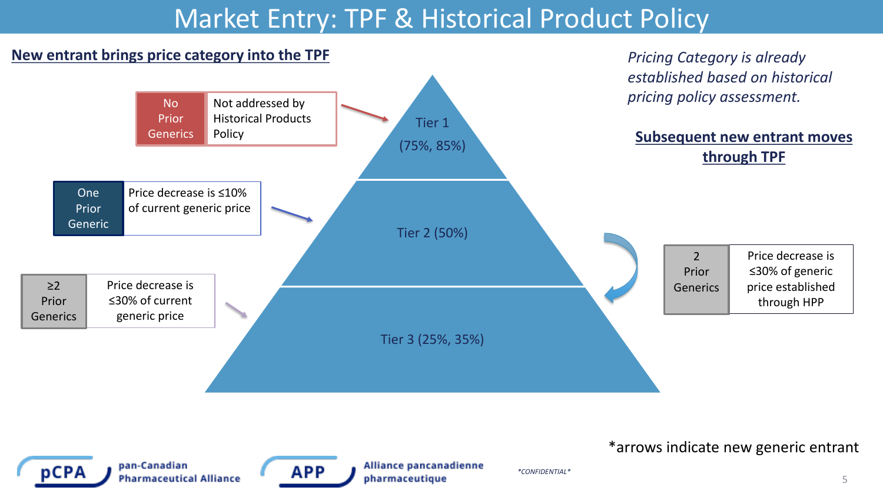#### Market Entry: TPF & Historical Product Policy

#### **New entrant brings price category into the TPF** *Pricing Category is already Pricing Category is already*



pCPA

pan-Canadian **Pharmaceutical Alliance** 



Alliance pancanadienne pharmaceutique

\*arrows indicate new generic entrant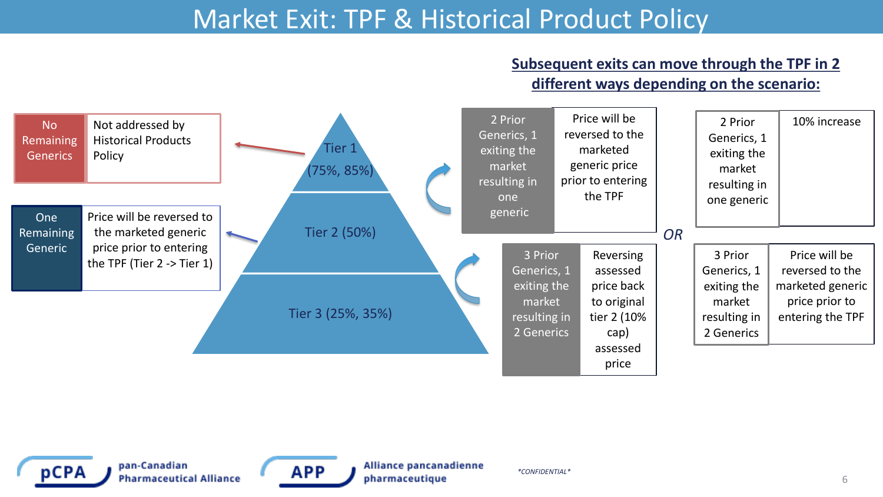#### Market Exit: TPF & Historical Product Policy

#### **Subsequent exits can move through the TPF in 2 different ways depending on the scenario:**





pan-Canadian **Pharmaceutical Alliance** 



Alliance pancanadienne pharmaceutique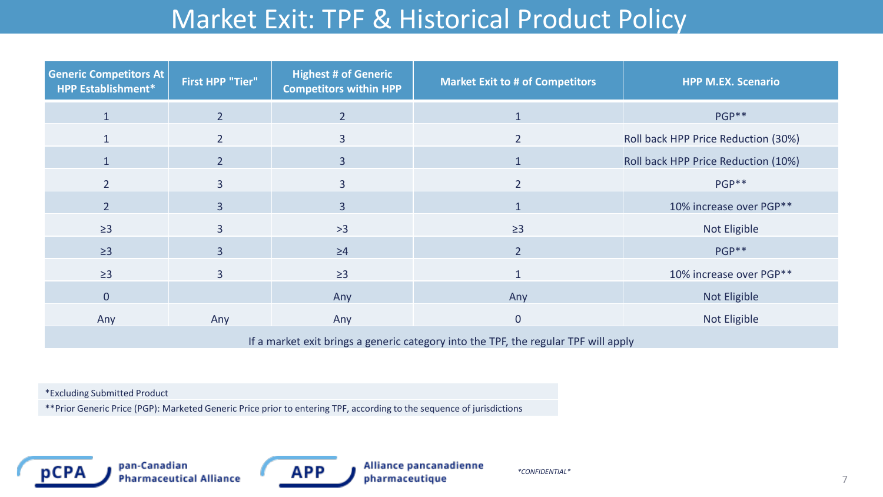# Market Exit: TPF & Historical Product Policy

| <b>Generic Competitors At</b><br><b>HPP Establishment*</b>                                                                                                                                                                                                                                                                                                                                                                                                 | <b>First HPP "Tier"</b> | <b>Highest # of Generic</b><br><b>Competitors within HPP</b> | <b>Market Exit to # of Competitors</b> | <b>HPP M.EX. Scenario</b>           |  |  |
|------------------------------------------------------------------------------------------------------------------------------------------------------------------------------------------------------------------------------------------------------------------------------------------------------------------------------------------------------------------------------------------------------------------------------------------------------------|-------------------------|--------------------------------------------------------------|----------------------------------------|-------------------------------------|--|--|
| $\mathbf{1}$                                                                                                                                                                                                                                                                                                                                                                                                                                               | $\overline{2}$          | $\overline{2}$                                               | $\mathbf{1}$                           | PGP**                               |  |  |
|                                                                                                                                                                                                                                                                                                                                                                                                                                                            | $\overline{2}$          | 3                                                            | $\overline{2}$                         | Roll back HPP Price Reduction (30%) |  |  |
| $\mathbf{1}$                                                                                                                                                                                                                                                                                                                                                                                                                                               | $\overline{2}$          | $\overline{3}$                                               | $\mathbf{1}$                           | Roll back HPP Price Reduction (10%) |  |  |
| 2 <sup>1</sup>                                                                                                                                                                                                                                                                                                                                                                                                                                             | 3                       | $\overline{3}$                                               | $\overline{2}$                         | PGP**                               |  |  |
| 2 <sup>1</sup>                                                                                                                                                                                                                                                                                                                                                                                                                                             | $\overline{3}$          | $\overline{3}$                                               | $\mathbf 1$                            | 10% increase over PGP**             |  |  |
| $\geq$ 3                                                                                                                                                                                                                                                                                                                                                                                                                                                   | $\overline{3}$          | $>3$                                                         | $\geq$ 3                               | <b>Not Eligible</b>                 |  |  |
| $\geq$ 3                                                                                                                                                                                                                                                                                                                                                                                                                                                   | $\overline{3}$          | $\geq 4$                                                     | $\overline{2}$                         | PGP**                               |  |  |
| $\geq$ 3                                                                                                                                                                                                                                                                                                                                                                                                                                                   | 3                       | $\geq$ 3                                                     | $\mathbf{1}$                           | 10% increase over PGP**             |  |  |
| $\overline{0}$                                                                                                                                                                                                                                                                                                                                                                                                                                             |                         | Any                                                          | Any                                    | <b>Not Eligible</b>                 |  |  |
| Any                                                                                                                                                                                                                                                                                                                                                                                                                                                        | Any                     | Any                                                          | $\mathbf 0$                            | Not Eligible                        |  |  |
| $\mathbf{R} = \mathbf{R} \cdot \mathbf{R} + \mathbf{R} \cdot \mathbf{R} + \mathbf{R} \cdot \mathbf{R} + \mathbf{R} \cdot \mathbf{R} + \mathbf{R} \cdot \mathbf{R} + \mathbf{R} \cdot \mathbf{R} + \mathbf{R} \cdot \mathbf{R} + \mathbf{R} \cdot \mathbf{R} + \mathbf{R} \cdot \mathbf{R} + \mathbf{R} \cdot \mathbf{R} + \mathbf{R} \cdot \mathbf{R} + \mathbf{R} \cdot \mathbf{R} + \mathbf{R} \cdot \mathbf{R} + \mathbf{R} \cdot \mathbf{R} + \mathbf$ |                         |                                                              |                                        |                                     |  |  |

If a market exit brings a generic category into the TPF, the regular TPF will apply

\*Excluding Submitted Product

\*\*Prior Generic Price (PGP): Marketed Generic Price prior to entering TPF, according to the sequence of jurisdictions



pan-Canadian **Pharmaceutical Alliance** 

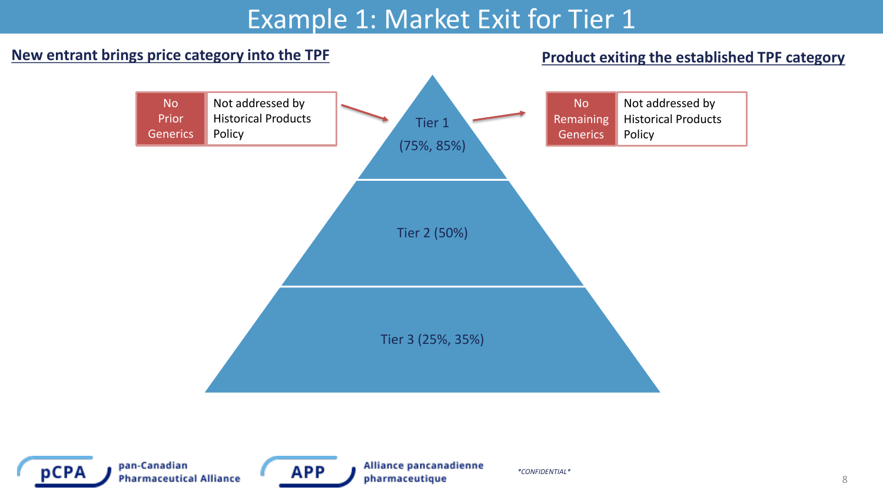## Example 1: Market Exit for Tier 1



**Product exiting the established TPF category**



pan-Canadian **Pharmaceutical Alliance** 



Alliance pancanadienne pharmaceutique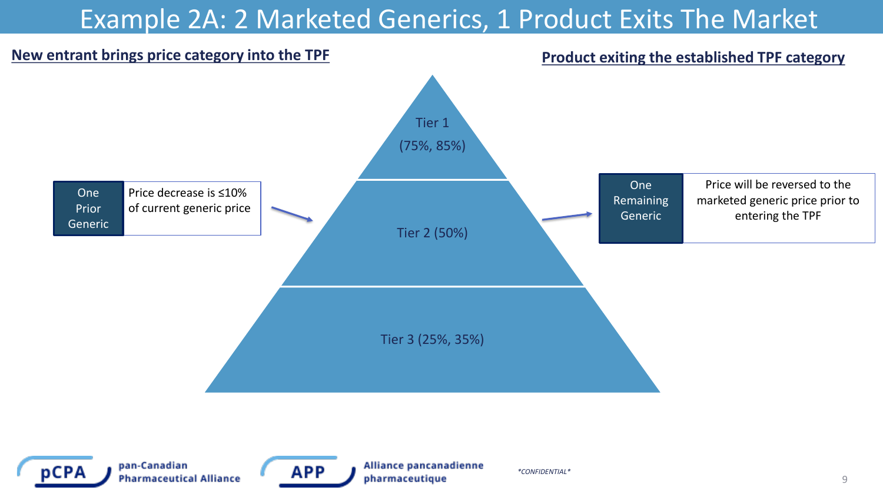# Example 2A: 2 Marketed Generics, 1 Product Exits The Market





pan-Canadian **Pharmaceutical Alliance** 



Alliance pancanadienne pharmaceutique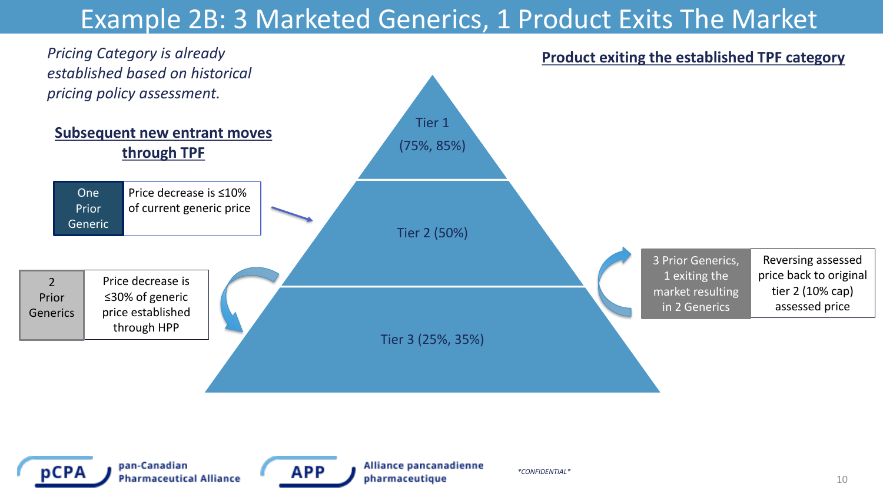# Example 2B: 3 Marketed Generics, 1 Product Exits The Market





pan-Canadian **Pharmaceutical Alliance** 



Alliance pancanadienne pharmaceutique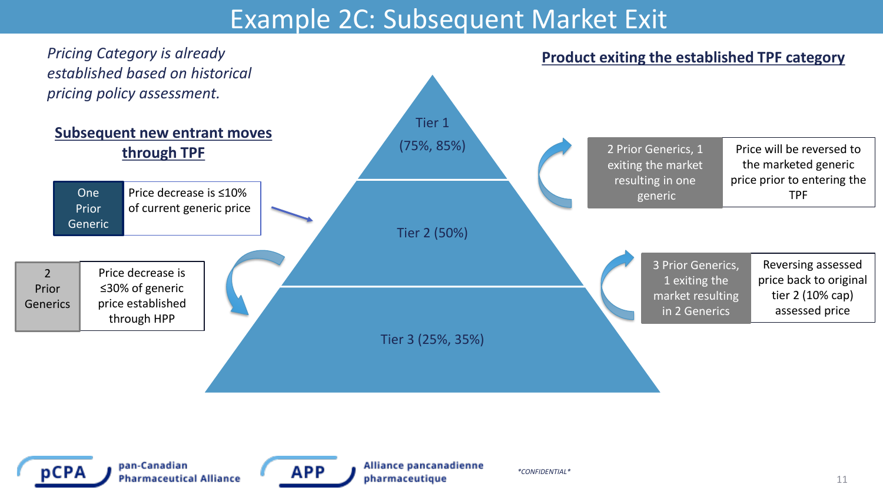#### Example 2C: Subsequent Market Exit





pan-Canadian **Pharmaceutical Alliance** 



Alliance pancanadienne pharmaceutique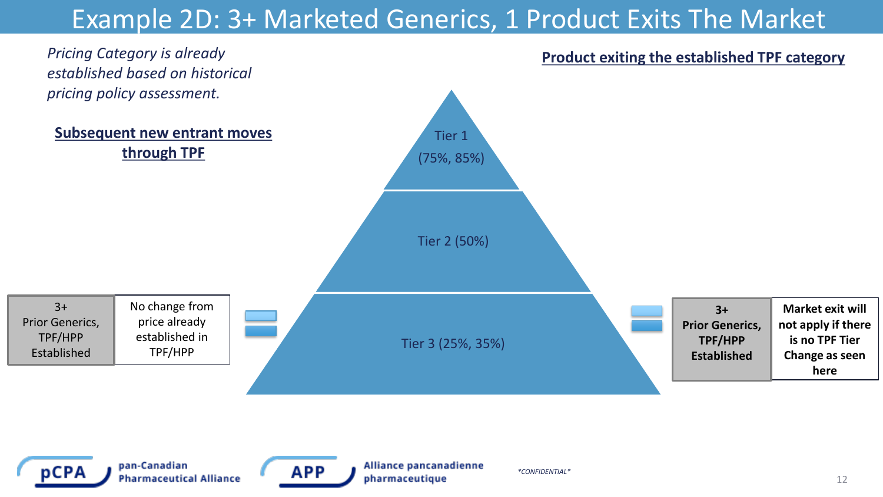## Example 2D: 3+ Marketed Generics, 1 Product Exits The Market

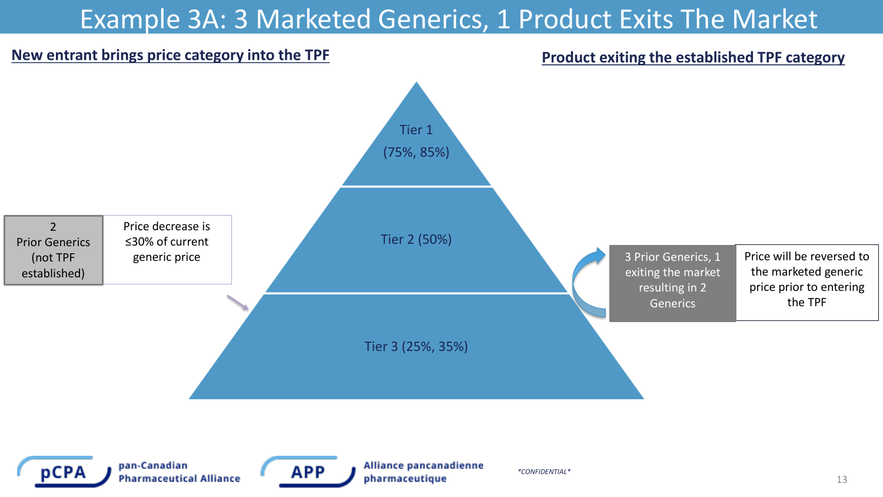# Example 3A: 3 Marketed Generics, 1 Product Exits The Market

#### **New entrant brings price category into the TPF**

#### **Product exiting the established TPF category**





pan-Canadian **Pharmaceutical Alliance** 



Alliance pancanadienne pharmaceutique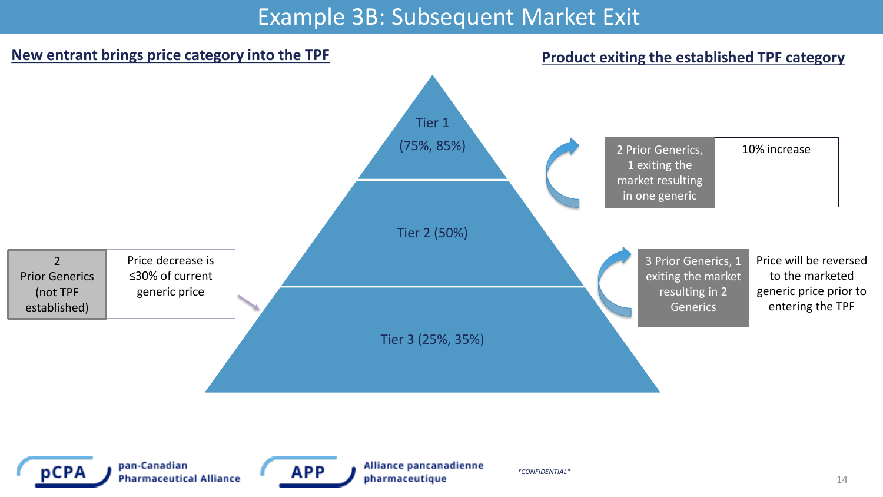#### Example 3B: Subsequent Market Exit





pan-Canadian **Pharmaceutical Alliance** 



Alliance pancanadienne pharmaceutique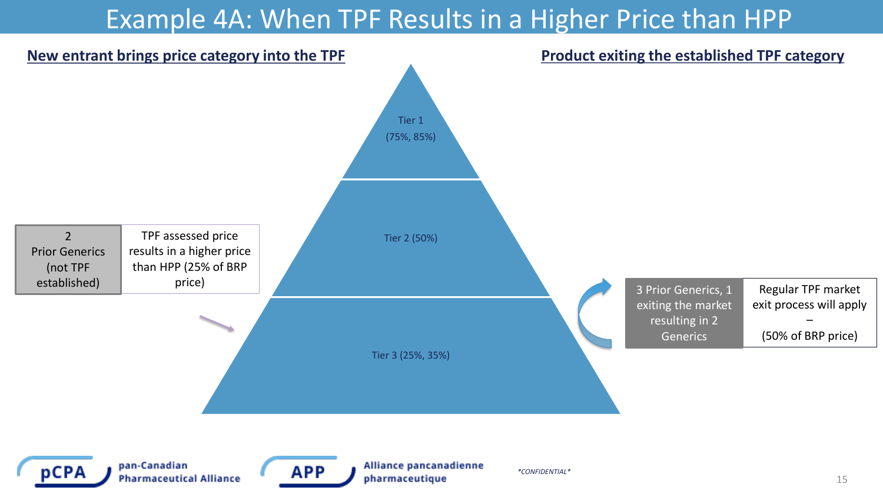#### Example 4A: When TPF Results in a Higher Price than HPP

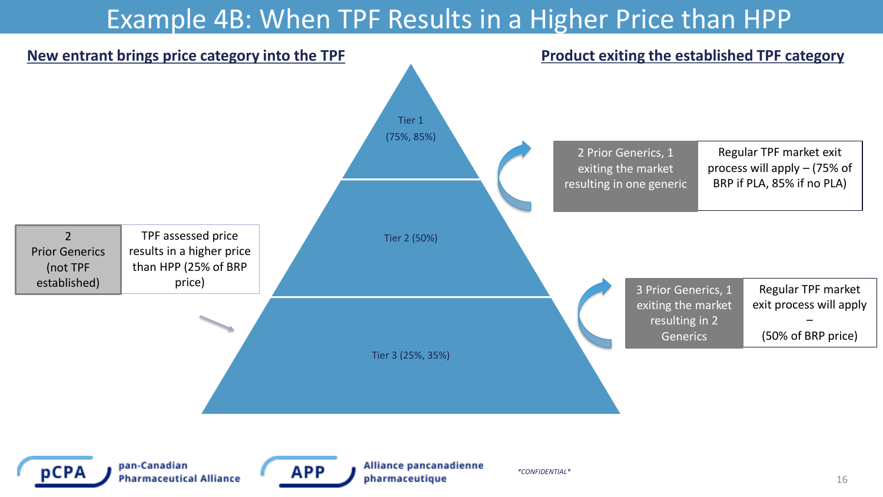#### Example 4B: When TPF Results in a Higher Price than HPP

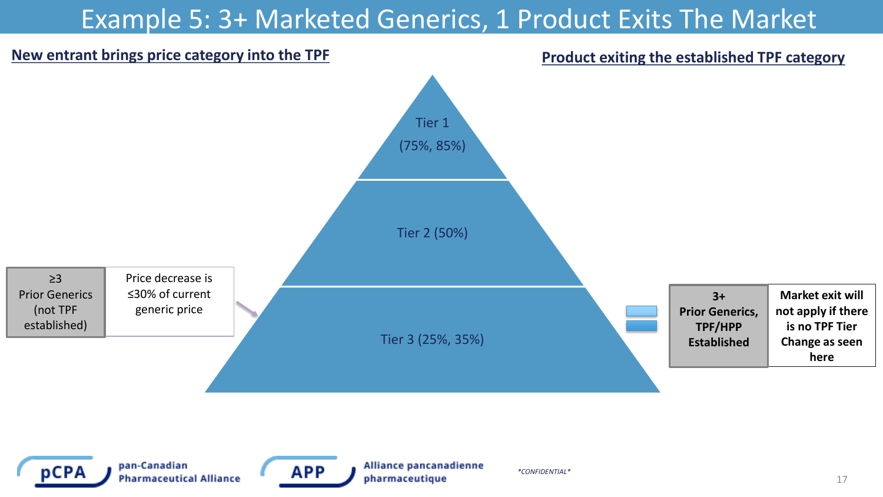## Example 5: 3+ Marketed Generics, 1 Product Exits The Market





pan-Canadian **Pharmaceutical Alliance** 



Alliance pancanadienne pharmaceutique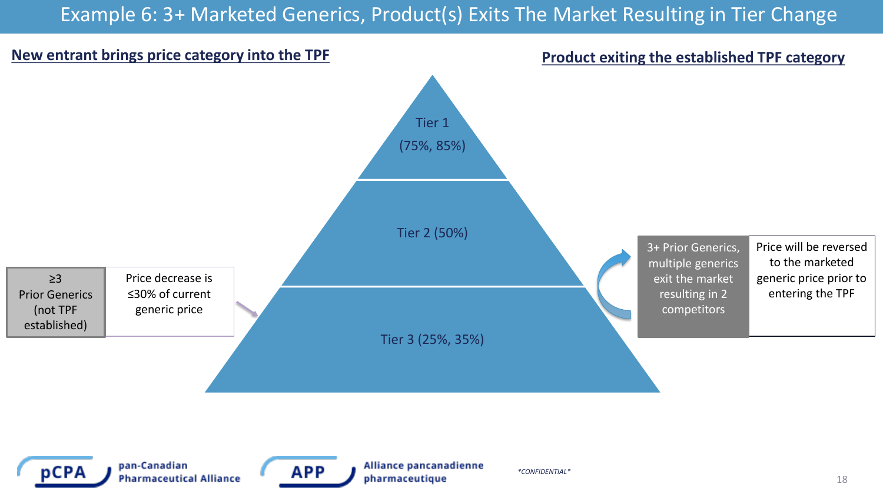#### Example 6: 3+ Marketed Generics, Product(s) Exits The Market Resulting in Tier Change



pCPA

pan-Canadian **Pharmaceutical Alliance**  APP

Alliance pancanadienne pharmaceutique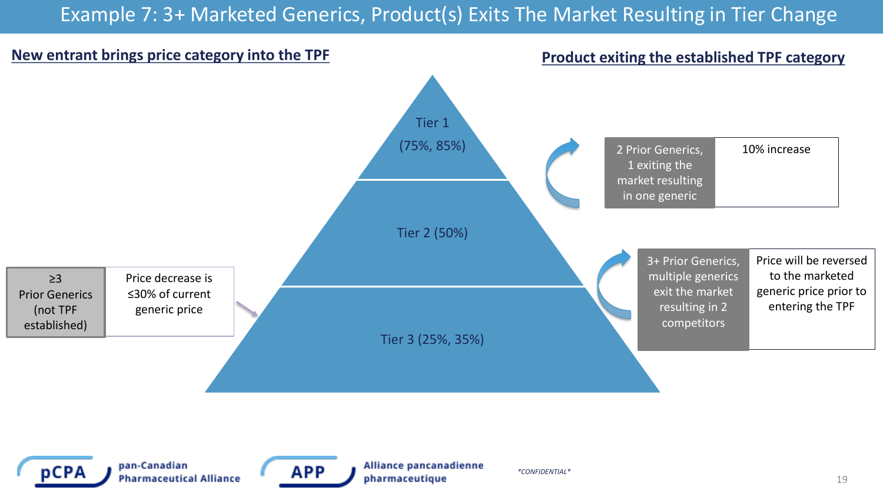#### Example 7: 3+ Marketed Generics, Product(s) Exits The Market Resulting in Tier Change



![](_page_18_Picture_2.jpeg)

pan-Canadian **Pharmaceutical Alliance** 

![](_page_18_Picture_4.jpeg)

Alliance pancanadienne pharmaceutique